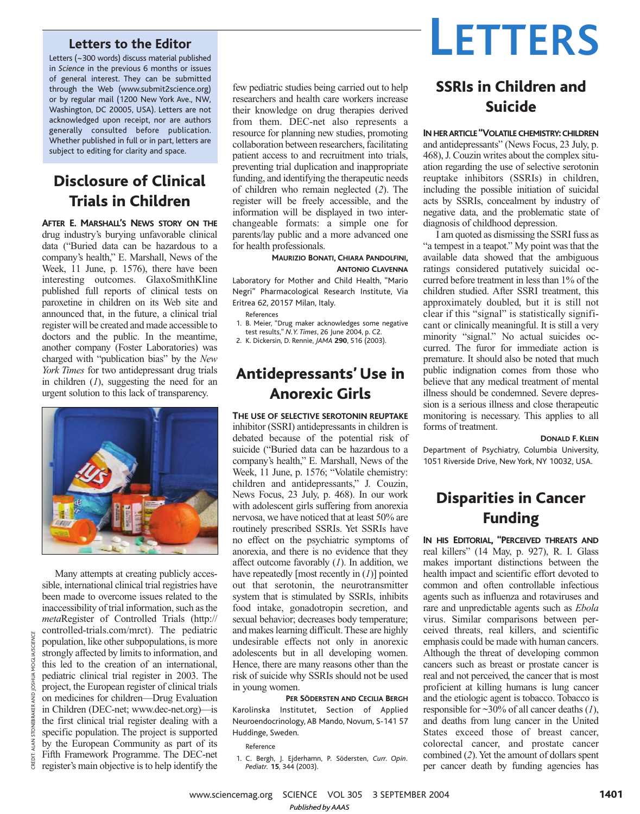### **Letters to the Editor**

Letters (~300 words) discuss material published in *Science* in the previous 6 months or issues of general interest. They can be submitted through the Web (www.submit2science.org) or by regular mail (1200 New York Ave., NW, Washington, DC 20005, USA). Letters are not acknowledged upon receipt, nor are authors generally consulted before publication. Whether published in full or in part, letters are subject to editing for clarity and space.

# Disclosure of Clinical Trials in Children

**AFTER E. MARSHALL'S NEWS STORY ON THE** drug industry's burying unfavorable clinical data ("Buried data can be hazardous to a company's health," E. Marshall, News of the Week, 11 June, p. 1576), there have been interesting outcomes. GlaxoSmithKline published full reports of clinical tests on paroxetine in children on its Web site and announced that, in the future, a clinical trial register will be created and made accessible to doctors and the public. In the meantime, another company (Foster Laboratories) was charged with "publication bias" by the *New York Times* for two antidepressant drug trials in children (*1*), suggesting the need for an urgent solution to this lack of transparency.



Many attempts at creating publicly accessible, international clinical trial registries have been made to overcome issues related to the inaccessibility of trial information, such as the *meta*Register of Controlled Trials (http:// controlled-trials.com/mrct). The pediatric population, like other subpopulations, is more strongly affected by limits to information, and this led to the creation of an international, pediatric clinical trial register in 2003. The project, the European register of clinical trials on medicines for children—Drug Evaluation in Children (DEC-net; www.dec-net.org)—is the first clinical trial register dealing with a specific population. The project is supported by the European Community as part of its Fifth Framework Programme. The DEC-net register's main objective is to help identify the

CREDIT: ALAN STONEBRAKER AND JOSHUA MOGLIA/*SCIENCE*

**ALAN STONEBRAKER** 

CREDIT:

AND JOSHUA MOGUA/SCIENCE

few pediatric studies being carried out to help researchers and health care workers increase their knowledge on drug therapies derived from them. DEC-net also represents a resource for planning new studies, promoting collaboration between researchers, facilitating patient access to and recruitment into trials, preventing trial duplication and inappropriate funding, and identifying the therapeutic needs of children who remain neglected (*2*). The register will be freely accessible, and the information will be displayed in two interchangeable formats: a simple one for parents/lay public and a more advanced one for health professionals.

#### **MAURIZIO BONATI, CHIARA PANDOLFINI, ANTONIO CLAVENNA**

Laboratory for Mother and Child Health, "Mario Negri" Pharmacological Research Institute, Via Eritrea 62, 20157 Milan, Italy.

References

- 1. B. Meier, "Drug maker acknowledges some negative test results," *N.Y. Times*, 26 June 2004, p. C2.
- 2. K. Dickersin, D. Rennie, *JAMA* **290**, 516 (2003).
- 

## Antidepressants' Use in Anorexic Girls

**THE USE OF SELECTIVE SEROTONIN REUPTAKE** inhibitor (SSRI) antidepressants in children is debated because of the potential risk of suicide ("Buried data can be hazardous to a company's health," E. Marshall, News of the Week, 11 June, p. 1576; "Volatile chemistry: children and antidepressants," J. Couzin, News Focus, 23 July, p. 468). In our work with adolescent girls suffering from anorexia nervosa, we have noticed that at least 50% are routinely prescribed SSRIs. Yet SSRIs have no effect on the psychiatric symptoms of anorexia, and there is no evidence that they affect outcome favorably (*1*). In addition, we have repeatedly [most recently in (*1*)] pointed out that serotonin, the neurotransmitter system that is stimulated by SSRIs, inhibits food intake, gonadotropin secretion, and sexual behavior; decreases body temperature; and makes learning difficult. These are highly undesirable effects not only in anorexic adolescents but in all developing women. Hence, there are many reasons other than the risk of suicide why SSRIs should not be used in young women.

**PER SÖDERSTEN AND CECILIA BERGH** Karolinska Institutet, Section of Applied Neuroendocrinology, AB Mando, Novum, S-141 57 Huddinge, Sweden.

Reference

1. C. Bergh, J. Ejderhamn, P. Södersten, *Curr. Opin. Pediatr.* **15**, 344 (2003).



# SSRIs in Children and Suicide

### **IN HERARTICLE "VOLATILE CHEMISTRY:CHILDREN**

and antidepressants" (News Focus, 23 July, p. 468), J. Couzin writes about the complex situation regarding the use of selective serotonin reuptake inhibitors (SSRIs) in children, including the possible initiation of suicidal acts by SSRIs, concealment by industry of negative data, and the problematic state of diagnosis of childhood depression.

I am quoted as dismissing the SSRI fuss as "a tempest in a teapot." My point was that the available data showed that the ambiguous ratings considered putatively suicidal occurred before treatment in less than 1% of the children studied. After SSRI treatment, this approximately doubled, but it is still not clear if this "signal" is statistically significant or clinically meaningful. It is still a very minority "signal." No actual suicides occurred. The furor for immediate action is premature. It should also be noted that much public indignation comes from those who believe that any medical treatment of mental illness should be condemned. Severe depression is a serious illness and close therapeutic monitoring is necessary. This applies to all forms of treatment.

#### **DONALD F. KLEIN**

Department of Psychiatry, Columbia University, 1051 Riverside Drive, New York, NY 10032, USA.

## Disparities in Cancer Funding

**IN HIS EDITORIAL, "PERCEIVED THREATS AND** real killers" (14 May, p. 927), R. I. Glass makes important distinctions between the health impact and scientific effort devoted to common and often controllable infectious agents such as influenza and rotaviruses and rare and unpredictable agents such as *Ebola* virus. Similar comparisons between perceived threats, real killers, and scientific emphasis could be made with human cancers. Although the threat of developing common cancers such as breast or prostate cancer is real and not perceived, the cancer that is most proficient at killing humans is lung cancer and the etiologic agent is tobacco. Tobacco is responsible for ~30% of all cancer deaths (*1*), and deaths from lung cancer in the United States exceed those of breast cancer, colorectal cancer, and prostate cancer combined (*2*). Yet the amount of dollars spent per cancer death by funding agencies has

www.sciencemag.org SCIENCE VOL 305 3 SEPTEMBER 2004 1401 *Published byAAAS*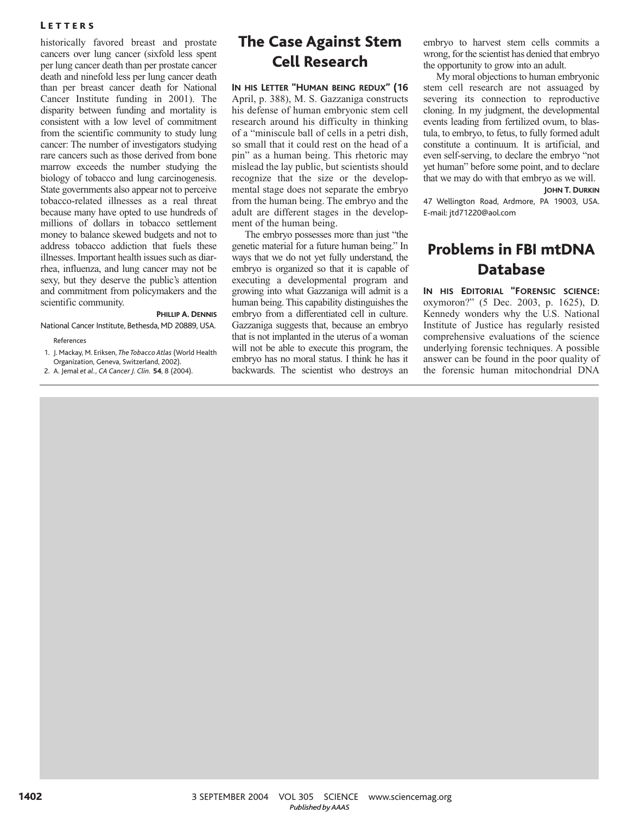### **LETTERS**

historically favored breast and prostate cancers over lung cancer (sixfold less spent per lung cancer death than per prostate cancer death and ninefold less per lung cancer death than per breast cancer death for National Cancer Institute funding in 2001). The disparity between funding and mortality is consistent with a low level of commitment from the scientific community to study lung cancer: The number of investigators studying rare cancers such as those derived from bone marrow exceeds the number studying the biology of tobacco and lung carcinogenesis. State governments also appear not to perceive tobacco-related illnesses as a real threat because many have opted to use hundreds of millions of dollars in tobacco settlement money to balance skewed budgets and not to address tobacco addiction that fuels these illnesses. Important health issues such as diarrhea, influenza, and lung cancer may not be sexy, but they deserve the public's attention and commitment from policymakers and the scientific community.

#### **PHILLIP A. DENNIS**

National Cancer Institute, Bethesda, MD 20889, USA.

References

- 1. J. Mackay, M. Eriksen, *The Tobacco Atlas* (World Health Organization, Geneva, Switzerland, 2002).
- 2. A. Jemal *et al.*, *CA Cancer J. Clin.* **54**, 8 (2004).

## The Case Against Stem Cell Research

**IN HIS LETTER "HUMAN BEING REDUX" (16** April, p. 388), M. S. Gazzaniga constructs his defense of human embryonic stem cell research around his difficulty in thinking of a "miniscule ball of cells in a petri dish, so small that it could rest on the head of a pin" as a human being. This rhetoric may mislead the lay public, but scientists should recognize that the size or the developmental stage does not separate the embryo from the human being. The embryo and the adult are different stages in the development of the human being.

The embryo possesses more than just "the genetic material for a future human being." In ways that we do not yet fully understand, the embryo is organized so that it is capable of executing a developmental program and growing into what Gazzaniga will admit is a human being. This capability distinguishes the embryo from a differentiated cell in culture. Gazzaniga suggests that, because an embryo that is not implanted in the uterus of a woman will not be able to execute this program, the embryo has no moral status. I think he has it backwards. The scientist who destroys an

embryo to harvest stem cells commits a wrong, for the scientist has denied that embryo the opportunity to grow into an adult.

My moral objections to human embryonic stem cell research are not assuaged by severing its connection to reproductive cloning. In my judgment, the developmental events leading from fertilized ovum, to blastula, to embryo, to fetus, to fully formed adult constitute a continuum. It is artificial, and even self-serving, to declare the embryo "not yet human" before some point, and to declare that we may do with that embryo as we will.

#### **JOHN T. DURKIN**

47 Wellington Road, Ardmore, PA 19003, USA. E-mail: jtd71220@aol.com

# Problems in FBI mtDNA Database

**IN HIS EDITORIAL "FORENSIC SCIENCE:** oxymoron?" (5 Dec. 2003, p. 1625), D. Kennedy wonders why the U.S. National Institute of Justice has regularly resisted comprehensive evaluations of the science underlying forensic techniques. A possible answer can be found in the poor quality of the forensic human mitochondrial DNA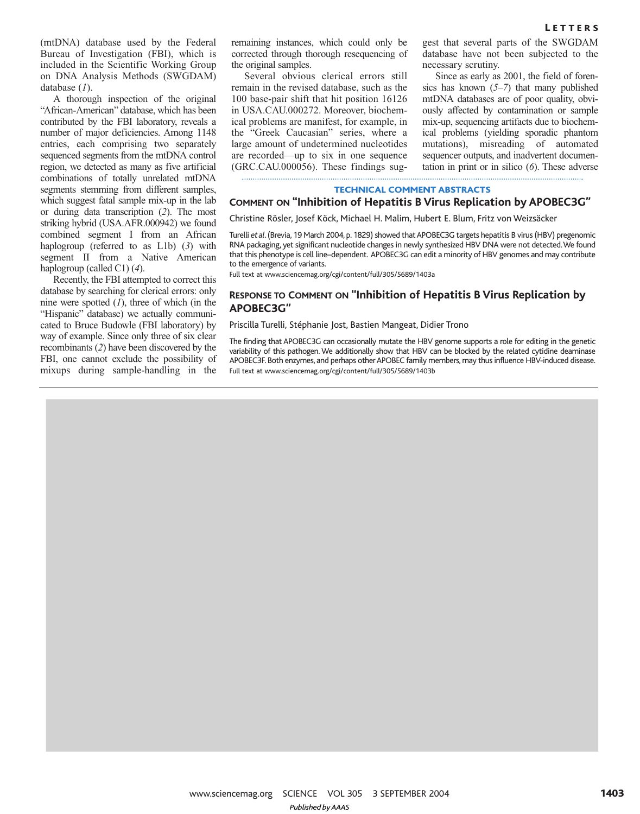(mtDNA) database used by the Federal Bureau of Investigation (FBI), which is included in the Scientific Working Group on DNA Analysis Methods (SWGDAM) database (*1*).

A thorough inspection of the original "African-American" database, which has been contributed by the FBI laboratory, reveals a number of major deficiencies. Among 1148 entries, each comprising two separately sequenced segments from the mtDNA control region, we detected as many as five artificial combinations of totally unrelated mtDNA segments stemming from different samples, which suggest fatal sample mix-up in the lab or during data transcription (*2*). The most striking hybrid (USA.AFR.000942) we found combined segment I from an African haplogroup (referred to as L1b) (*3*) with segment II from a Native American haplogroup (called C1) (*4*).

Recently, the FBI attempted to correct this database by searching for clerical errors: only nine were spotted (*1*), three of which (in the "Hispanic" database) we actually communicated to Bruce Budowle (FBI laboratory) by way of example. Since only three of six clear recombinants (*2*) have been discovered by the FBI, one cannot exclude the possibility of mixups during sample-handling in the remaining instances, which could only be corrected through thorough resequencing of the original samples.

Several obvious clerical errors still remain in the revised database, such as the 100 base-pair shift that hit position 16126 in USA.CAU.000272. Moreover, biochemical problems are manifest, for example, in the "Greek Caucasian" series, where a large amount of undetermined nucleotides are recorded—up to six in one sequence (GRC.CAU.000056). These findings sug-

gest that several parts of the SWGDAM database have not been subjected to the necessary scrutiny.

Since as early as 2001, the field of forensics has known (*5–7*) that many published mtDNA databases are of poor quality, obviously affected by contamination or sample mix-up, sequencing artifacts due to biochemical problems (yielding sporadic phantom mutations), misreading of automated sequencer outputs, and inadvertent documentation in print or in silico (*6*). These adverse

#### TECHNICAL COMMENT ABSTRACTS

### **COMMENT ON "Inhibition of Hepatitis B Virus Replication by APOBEC3G"**

Christine Rösler, Josef Köck, Michael H. Malim, Hubert E. Blum, Fritz von Weizsäcker

Turelli *et al*. (Brevia, 19 March 2004, p. 1829) showed that APOBEC3G targets hepatitis B virus (HBV) pregenomic RNA packaging, yet significant nucleotide changes in newly synthesized HBV DNA were not detected.We found that this phenotype is cell line–dependent. APOBEC3G can edit a minority of HBV genomes and may contribute to the emergence of variants.

Full text at www.sciencemag.org/cgi/content/full/305/5689/1403a

### **RESPONSE TO COMMENT ON "Inhibition of Hepatitis B Virus Replication by APOBEC3G"**

Priscilla Turelli, Stéphanie Jost, Bastien Mangeat, Didier Trono

The finding that APOBEC3G can occasionally mutate the HBV genome supports a role for editing in the genetic variability of this pathogen. We additionally show that HBV can be blocked by the related cytidine deaminase APOBEC3F. Both enzymes, and perhaps other APOBEC family members, may thus influence HBV-induced disease. Full text at www.sciencemag.org/cgi/content/full/305/5689/1403b